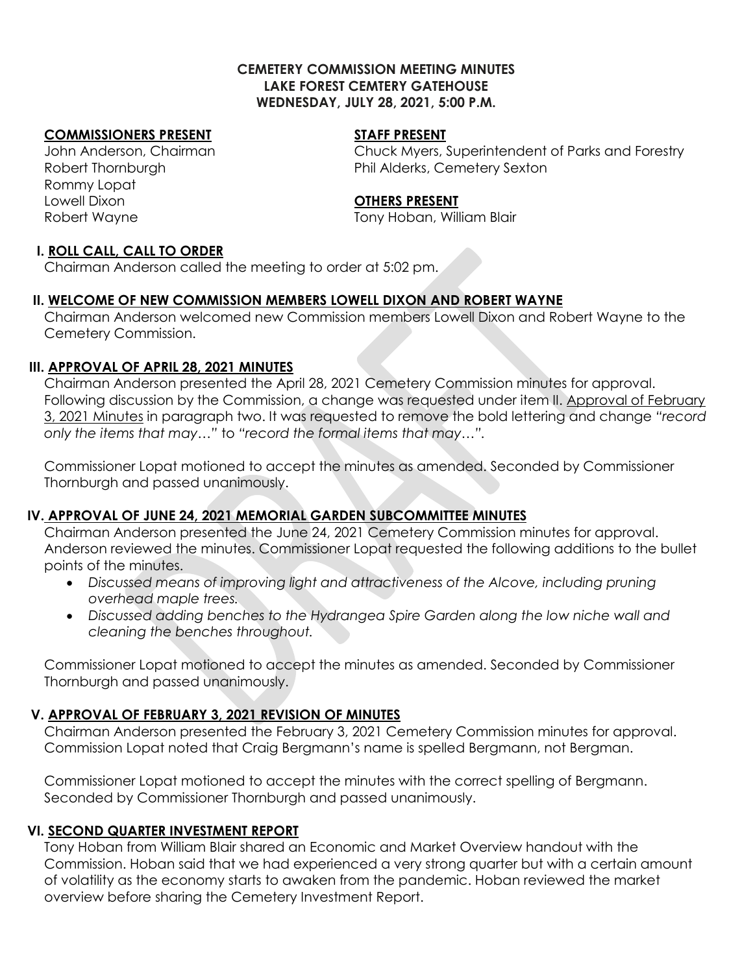#### **CEMETERY COMMISSION MEETING MINUTES LAKE FOREST CEMTERY GATEHOUSE WEDNESDAY, JULY 28, 2021, 5:00 P.M.**

## **COMMISSIONERS PRESENT STAFF PRESENT**

Rommy Lopat Lowell Dixon **OTHERS PRESENT** Robert Wayne Tony Hoban, William Blair

John Anderson, Chairman Chuck Myers, Superintendent of Parks and Forestry Robert Thornburgh **Phil Alderks, Cemetery Sexton** 

#### **I. ROLL CALL, CALL TO ORDER**

Chairman Anderson called the meeting to order at 5:02 pm.

## **II. WELCOME OF NEW COMMISSION MEMBERS LOWELL DIXON AND ROBERT WAYNE**

Chairman Anderson welcomed new Commission members Lowell Dixon and Robert Wayne to the Cemetery Commission.

#### **III. APPROVAL OF APRIL 28, 2021 MINUTES**

Chairman Anderson presented the April 28, 2021 Cemetery Commission minutes for approval. Following discussion by the Commission, a change was requested under item II. Approval of February 3, 2021 Minutes in paragraph two. It was requested to remove the bold lettering and change *"record only the items that may…"* to *"record the formal items that may…".*

Commissioner Lopat motioned to accept the minutes as amended. Seconded by Commissioner Thornburgh and passed unanimously.

## **IV. APPROVAL OF JUNE 24, 2021 MEMORIAL GARDEN SUBCOMMITTEE MINUTES**

Chairman Anderson presented the June 24, 2021 Cemetery Commission minutes for approval. Anderson reviewed the minutes. Commissioner Lopat requested the following additions to the bullet points of the minutes.

- Discussed means of improving light and attractiveness of the Alcove, including pruning *overhead maple trees.*
- *Discussed adding benches to the Hydrangea Spire Garden along the low niche wall and cleaning the benches throughout.*

Commissioner Lopat motioned to accept the minutes as amended. Seconded by Commissioner Thornburgh and passed unanimously.

## **V. APPROVAL OF FEBRUARY 3, 2021 REVISION OF MINUTES**

Chairman Anderson presented the February 3, 2021 Cemetery Commission minutes for approval. Commission Lopat noted that Craig Bergmann's name is spelled Bergmann, not Bergman.

Commissioner Lopat motioned to accept the minutes with the correct spelling of Bergmann. Seconded by Commissioner Thornburgh and passed unanimously.

## **VI. SECOND QUARTER INVESTMENT REPORT**

Tony Hoban from William Blair shared an Economic and Market Overview handout with the Commission. Hoban said that we had experienced a very strong quarter but with a certain amount of volatility as the economy starts to awaken from the pandemic. Hoban reviewed the market overview before sharing the Cemetery Investment Report.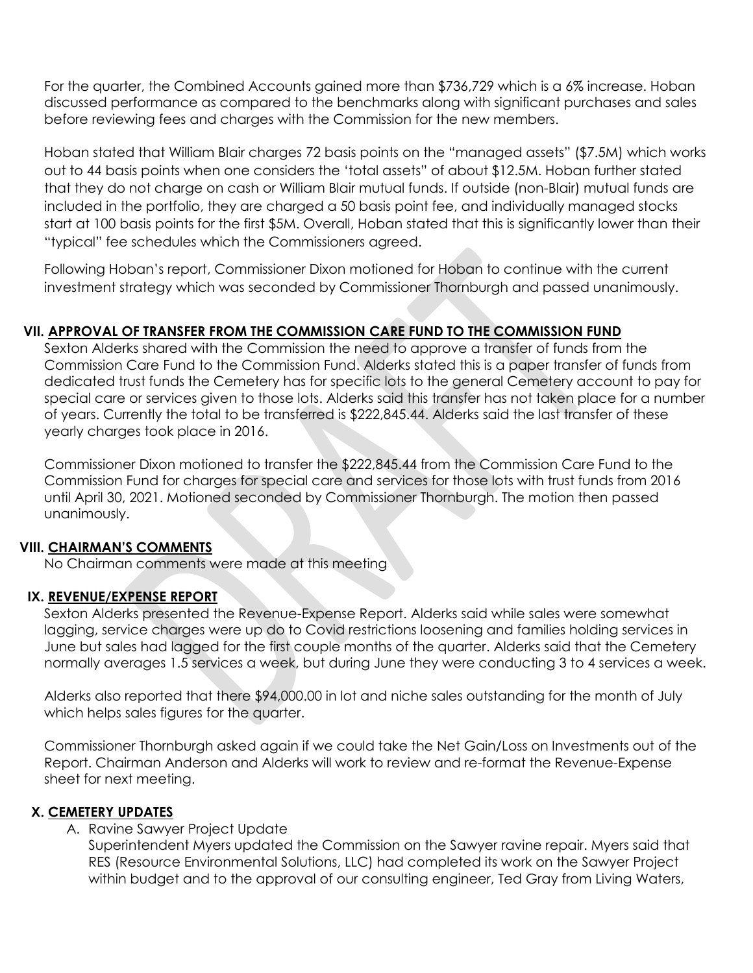For the quarter, the Combined Accounts gained more than \$736,729 which is a 6% increase. Hoban discussed performance as compared to the benchmarks along with significant purchases and sales before reviewing fees and charges with the Commission for the new members.

Hoban stated that William Blair charges 72 basis points on the "managed assets" (\$7.5M) which works out to 44 basis points when one considers the 'total assets" of about \$12.5M. Hoban further stated that they do not charge on cash or William Blair mutual funds. If outside (non-Blair) mutual funds are included in the portfolio, they are charged a 50 basis point fee, and individually managed stocks start at 100 basis points for the first \$5M. Overall, Hoban stated that this is significantly lower than their "typical" fee schedules which the Commissioners agreed.

Following Hoban's report, Commissioner Dixon motioned for Hoban to continue with the current investment strategy which was seconded by Commissioner Thornburgh and passed unanimously.

# **VII. APPROVAL OF TRANSFER FROM THE COMMISSION CARE FUND TO THE COMMISSION FUND**

Sexton Alderks shared with the Commission the need to approve a transfer of funds from the Commission Care Fund to the Commission Fund. Alderks stated this is a paper transfer of funds from dedicated trust funds the Cemetery has for specific lots to the general Cemetery account to pay for special care or services given to those lots. Alderks said this transfer has not taken place for a number of years. Currently the total to be transferred is \$222,845.44. Alderks said the last transfer of these yearly charges took place in 2016.

Commissioner Dixon motioned to transfer the \$222,845.44 from the Commission Care Fund to the Commission Fund for charges for special care and services for those lots with trust funds from 2016 until April 30, 2021. Motioned seconded by Commissioner Thornburgh. The motion then passed unanimously.

## **VIII. CHAIRMAN'S COMMENTS**

No Chairman comments were made at this meeting

## **IX. REVENUE/EXPENSE REPORT**

Sexton Alderks presented the Revenue-Expense Report. Alderks said while sales were somewhat lagging, service charges were up do to Covid restrictions loosening and families holding services in June but sales had lagged for the first couple months of the quarter. Alderks said that the Cemetery normally averages 1.5 services a week, but during June they were conducting 3 to 4 services a week.

Alderks also reported that there \$94,000.00 in lot and niche sales outstanding for the month of July which helps sales figures for the quarter.

Commissioner Thornburgh asked again if we could take the Net Gain/Loss on Investments out of the Report. Chairman Anderson and Alderks will work to review and re-format the Revenue-Expense sheet for next meeting.

## **X. CEMETERY UPDATES**

A. Ravine Sawyer Project Update

Superintendent Myers updated the Commission on the Sawyer ravine repair. Myers said that RES (Resource Environmental Solutions, LLC) had completed its work on the Sawyer Project within budget and to the approval of our consulting engineer, Ted Gray from Living Waters,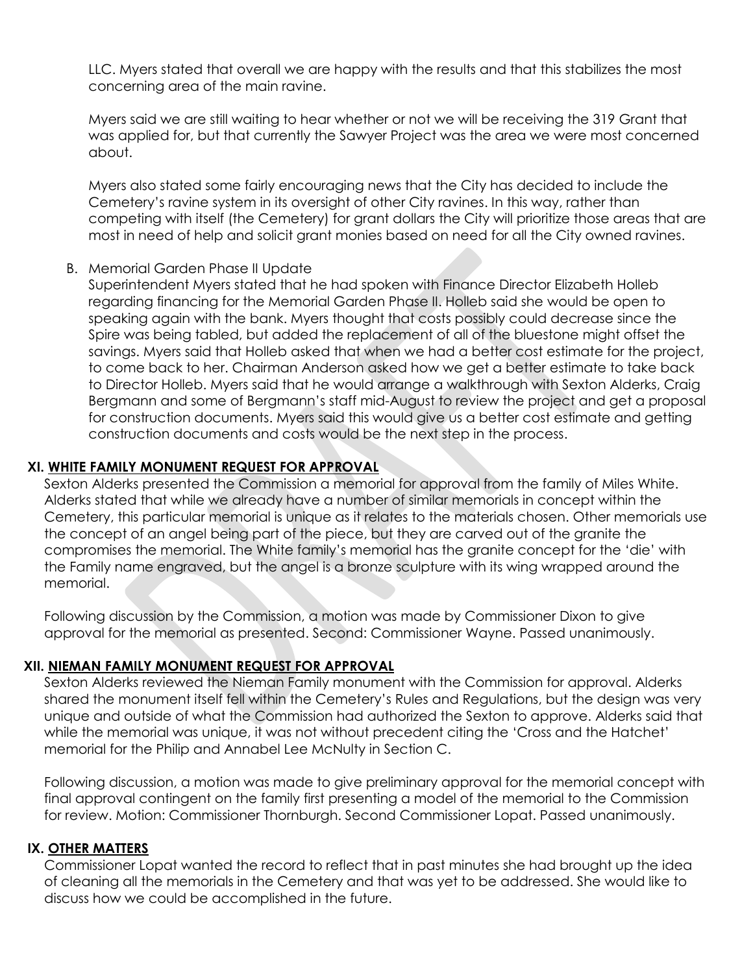LLC. Myers stated that overall we are happy with the results and that this stabilizes the most concerning area of the main ravine.

Myers said we are still waiting to hear whether or not we will be receiving the 319 Grant that was applied for, but that currently the Sawyer Project was the area we were most concerned about.

Myers also stated some fairly encouraging news that the City has decided to include the Cemetery's ravine system in its oversight of other City ravines. In this way, rather than competing with itself (the Cemetery) for grant dollars the City will prioritize those areas that are most in need of help and solicit grant monies based on need for all the City owned ravines.

#### B. Memorial Garden Phase II Update

Superintendent Myers stated that he had spoken with Finance Director Elizabeth Holleb regarding financing for the Memorial Garden Phase II. Holleb said she would be open to speaking again with the bank. Myers thought that costs possibly could decrease since the Spire was being tabled, but added the replacement of all of the bluestone might offset the savings. Myers said that Holleb asked that when we had a better cost estimate for the project, to come back to her. Chairman Anderson asked how we get a better estimate to take back to Director Holleb. Myers said that he would arrange a walkthrough with Sexton Alderks, Craig Bergmann and some of Bergmann's staff mid-August to review the project and get a proposal for construction documents. Myers said this would give us a better cost estimate and getting construction documents and costs would be the next step in the process.

## **XI. WHITE FAMILY MONUMENT REQUEST FOR APPROVAL**

Sexton Alderks presented the Commission a memorial for approval from the family of Miles White. Alderks stated that while we already have a number of similar memorials in concept within the Cemetery, this particular memorial is unique as it relates to the materials chosen. Other memorials use the concept of an angel being part of the piece, but they are carved out of the granite the compromises the memorial. The White family's memorial has the granite concept for the 'die' with the Family name engraved, but the angel is a bronze sculpture with its wing wrapped around the memorial.

Following discussion by the Commission, a motion was made by Commissioner Dixon to give approval for the memorial as presented. Second: Commissioner Wayne. Passed unanimously.

## **XII. NIEMAN FAMILY MONUMENT REQUEST FOR APPROVAL**

Sexton Alderks reviewed the Nieman Family monument with the Commission for approval. Alderks shared the monument itself fell within the Cemetery's Rules and Regulations, but the design was very unique and outside of what the Commission had authorized the Sexton to approve. Alderks said that while the memorial was unique, it was not without precedent citing the 'Cross and the Hatchet' memorial for the Philip and Annabel Lee McNulty in Section C.

Following discussion, a motion was made to give preliminary approval for the memorial concept with final approval contingent on the family first presenting a model of the memorial to the Commission for review. Motion: Commissioner Thornburgh. Second Commissioner Lopat. Passed unanimously.

## **IX. OTHER MATTERS**

Commissioner Lopat wanted the record to reflect that in past minutes she had brought up the idea of cleaning all the memorials in the Cemetery and that was yet to be addressed. She would like to discuss how we could be accomplished in the future.